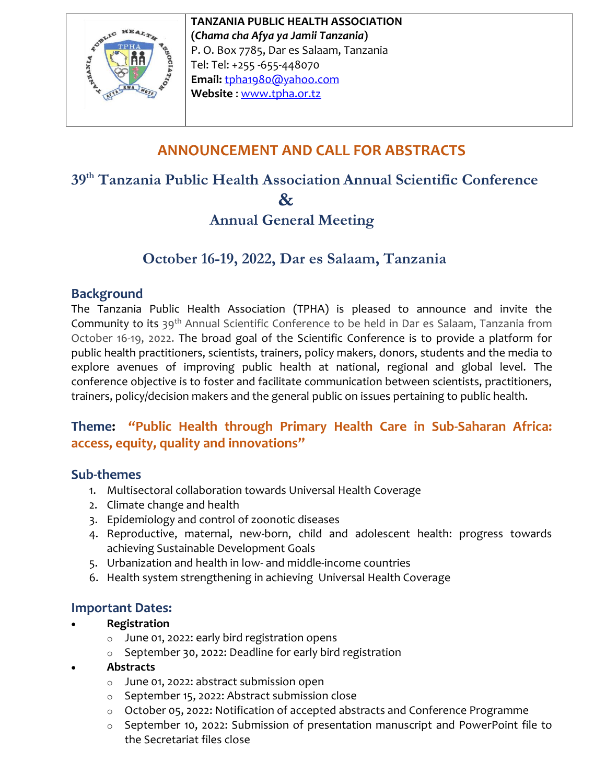

**TANZANIA PUBLIC HEALTH ASSOCIATION (***Chama cha Afya ya Jamii Tanzania***)** P. O. Box 7785, Dar es Salaam, Tanzania Tel: Tel: +255 -655-448070 **Email:** [tpha1980@yahoo.com](mailto:tpha1980@yahoo.com) **Website** [: www.tpha.or.tz](http://www.tpha.or.tz/)

# **ANNOUNCEMENT AND CALL FOR ABSTRACTS**

# **39 th Tanzania Public Health Association Annual Scientific Conference**

 **&**

## **Annual General Meeting**

## **October 16-19, 2022, Dar es Salaam, Tanzania**

#### **Background**

The Tanzania Public Health Association (TPHA) is pleased to announce and invite the Community to its 39th Annual Scientific Conference to be held in Dar es Salaam, Tanzania from October 16-19, 2022. The broad goal of the Scientific Conference is to provide a platform for public health practitioners, scientists, trainers, policy makers, donors, students and the media to explore avenues of improving public health at national, regional and global level. The conference objective is to foster and facilitate communication between scientists, practitioners, trainers, policy/decision makers and the general public on issues pertaining to public health.

### **Theme: "Public Health through Primary Health Care in Sub-Saharan Africa: access, equity, quality and innovations"**

#### **Sub-themes**

- 1. Multisectoral collaboration towards Universal Health Coverage
- 2. Climate change and health
- 3. Epidemiology and control of zoonotic diseases
- 4. Reproductive, maternal, new-born, child and adolescent health: progress towards achieving Sustainable Development Goals
- 5. Urbanization and health in low- and middle-income countries
- 6. Health system strengthening in achieving Universal Health Coverage

### **Important Dates:**

#### **Registration**

- o June 01, 2022: early bird registration opens
- o September 30, 2022: Deadline for early bird registration

#### **Abstracts**

- o June 01, 2022: abstract submission open
- o September 15, 2022: Abstract submission close
- o October 05, 2022: Notification of accepted abstracts and Conference Programme
- o September 10, 2022: Submission of presentation manuscript and PowerPoint file to the Secretariat files close